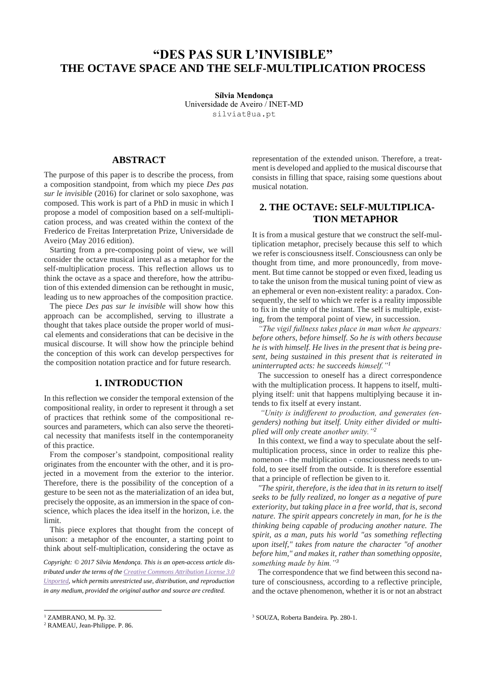# **"DES PAS SUR L'INVISIBLE" THE OCTAVE SPACE AND THE SELF-MULTIPLICATION PROCESS**

**Sílvia Mendonça**  Universidade de Aveiro / INET-MD si[lviat@ua.pt](mailto:silviat@ua.pt)

### **ABSTRACT**

The purpose of this paper is to describe the process, from a composition standpoint, from which my piece *Des pas sur le invisible* (2016) for clarinet or solo saxophone, was composed. This work is part of a PhD in music in which I propose a model of composition based on a self-multiplication process, and was created within the context of the Frederico de Freitas Interpretation Prize, Universidade de Aveiro (May 2016 edition).

Starting from a pre-composing point of view, we will consider the octave musical interval as a metaphor for the self-multiplication process. This reflection allows us to think the octave as a space and therefore, how the attribution of this extended dimension can be rethought in music, leading us to new approaches of the composition practice.

The piece *Des pas sur le invisible* will show how this approach can be accomplished, serving to illustrate a thought that takes place outside the proper world of musical elements and considerations that can be decisive in the musical discourse. It will show how the principle behind the conception of this work can develop perspectives for the composition notation practice and for future research.

### **1. INTRODUCTION**

In this reflection we consider the temporal extension of the compositional reality, in order to represent it through a set of practices that rethink some of the compositional resources and parameters, which can also serve the theoretical necessity that manifests itself in the contemporaneity of this practice.

From the composer's standpoint, compositional reality originates from the encounter with the other, and it is projected in a movement from the exterior to the interior. Therefore, there is the possibility of the conception of a gesture to be seen not as the materialization of an idea but, precisely the opposite, as an immersion in the space of conscience, which places the idea itself in the horizon, i.e. the limit.

This piece explores that thought from the concept of unison: a metaphor of the encounter, a starting point to think about self-multiplication, considering the octave as

*Copyright: © 2017 Sílvia Mendonça. This is an open-access article distributed under the terms of th[e Creative Commons Attribution License 3.0](http://creativecommons.org/licenses/by/3.0/)  [Unported,](http://creativecommons.org/licenses/by/3.0/) which permits unrestricted use, distribution, and reproduction in any medium, provided the original author and source are credited.*

representation of the extended unison. Therefore, a treatment is developed and applied to the musical discourse that consists in filling that space, raising some questions about musical notation.

### **2. THE OCTAVE: SELF-MULTIPLICA-TION METAPHOR**

It is from a musical gesture that we construct the self-multiplication metaphor, precisely because this self to which we refer is consciousness itself. Consciousness can only be thought from time, and more pronouncedly, from movement. But time cannot be stopped or even fixed, leading us to take the unison from the musical tuning point of view as an ephemeral or even non-existent reality: a paradox. Consequently, the self to which we refer is a reality impossible to fix in the unity of the instant. The self is multiple, existing, from the temporal point of view, in succession.

*"The vigil fullness takes place in man when he appears: before others, before himself. So he is with others because he is with himself. He lives in the present that is being present, being sustained in this present that is reiterated in uninterrupted acts: he succeeds himself."<sup>1</sup>*

The succession to oneself has a direct correspondence with the multiplication process. It happens to itself, multiplying itself: unit that happens multiplying because it intends to fix itself at every instant.

*"Unity is indifferent to production, and generates (engenders) nothing but itself. Unity either divided or multiplied will only create another unity."<sup>2</sup>*

In this context, we find a way to speculate about the selfmultiplication process, since in order to realize this phenomenon - the multiplication - consciousness needs to unfold, to see itself from the outside. It is therefore essential that a principle of reflection be given to it.

*"The spirit, therefore, is the idea that in its return to itself seeks to be fully realized, no longer as a negative of pure exteriority, but taking place in a free world, that is, second nature. The spirit appears concretely in man, for he is the thinking being capable of producing another nature. The spirit, as a man, puts his world "as something reflecting upon itself," takes from nature the character "of another before him," and makes it, rather than something opposite, something made by him."<sup>3</sup>*

The correspondence that we find between this second nature of consciousness, according to a reflective principle, and the octave phenomenon, whether it is or not an abstract

<sup>&</sup>lt;sup>1</sup> ZAMBRANO, M. Pp. 32.

<sup>2</sup> RAMEAU, Jean-Philippe. P. 86.

<sup>3</sup> SOUZA, Roberta Bandeira. Pp. 280-1.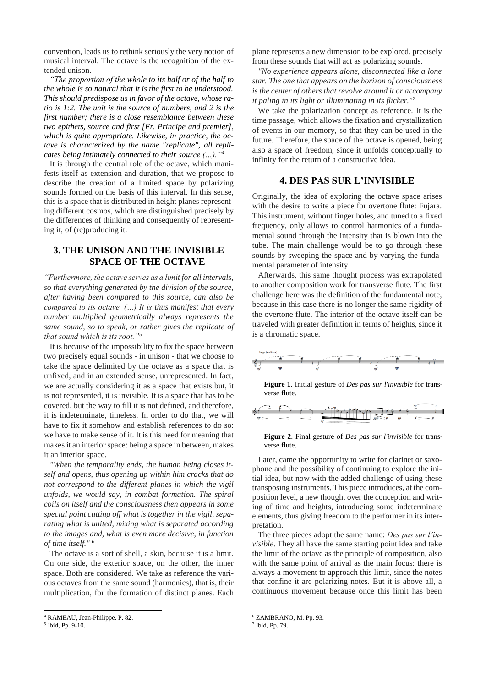convention, leads us to rethink seriously the very notion of musical interval. The octave is the recognition of the extended unison.

*"The proportion of the whole to its half or of the half to the whole is so natural that it is the first to be understood. This should predispose us in favor of the octave, whose ratio is 1:2. The unit is the source of numbers, and 2 is the first number; there is a close resemblance between these two epithets, source and first [Fr. Principe and premier], which is quite appropriate. Likewise, in practice, the octave is characterized by the name "replicate", all replicates being intimately connected to their source (…)."<sup>4</sup>*

It is through the central role of the octave, which manifests itself as extension and duration, that we propose to describe the creation of a limited space by polarizing sounds formed on the basis of this interval. In this sense, this is a space that is distributed in height planes representing different cosmos, which are distinguished precisely by the differences of thinking and consequently of representing it, of (re)producing it.

### **3. THE UNISON AND THE INVISIBLE SPACE OF THE OCTAVE**

*"Furthermore, the octave serves as a limit for all intervals, so that everything generated by the division of the source, after having been compared to this source, can also be compared to its octave. (…) It is thus manifest that every number multiplied geometrically always represents the same sound, so to speak, or rather gives the replicate of that sound which is its root."<sup>5</sup>*

It is because of the impossibility to fix the space between two precisely equal sounds - in unison - that we choose to take the space delimited by the octave as a space that is unfixed, and in an extended sense, unrepresented. In fact, we are actually considering it as a space that exists but, it is not represented, it is invisible. It is a space that has to be covered, but the way to fill it is not defined, and therefore, it is indeterminate, timeless. In order to do that, we will have to fix it somehow and establish references to do so: we have to make sense of it. It is this need for meaning that makes it an interior space: being a space in between, makes it an interior space.

*"When the temporality ends, the human being closes itself and opens, thus opening up within him cracks that do not correspond to the different planes in which the vigil unfolds, we would say, in combat formation. The spiral coils on itself and the consciousness then appears in some special point cutting off what is together in the vigil, separating what is united, mixing what is separated according to the images and, what is even more decisive, in function of time itself." 6*

The octave is a sort of shell, a skin, because it is a limit. On one side, the exterior space, on the other, the inner space. Both are considered. We take as reference the various octaves from the same sound (harmonics), that is, their multiplication, for the formation of distinct planes. Each

l

plane represents a new dimension to be explored, precisely from these sounds that will act as polarizing sounds.

*"No experience appears alone, disconnected like a lone star. The one that appears on the horizon of consciousness is the center of others that revolve around it or accompany it paling in its light or illuminating in its flicker."<sup>7</sup>*

We take the polarization concept as reference. It is the time passage, which allows the fixation and crystallization of events in our memory, so that they can be used in the future. Therefore, the space of the octave is opened, being also a space of freedom, since it unfolds conceptually to infinity for the return of a constructive idea.

### **4. DES PAS SUR L'INVISIBLE**

Originally, the idea of exploring the octave space arises with the desire to write a piece for overtone flute: Fujara. This instrument, without finger holes, and tuned to a fixed frequency, only allows to control harmonics of a fundamental sound through the intensity that is blown into the tube. The main challenge would be to go through these sounds by sweeping the space and by varying the fundamental parameter of intensity.

Afterwards, this same thought process was extrapolated to another composition work for transverse flute. The first challenge here was the definition of the fundamental note, because in this case there is no longer the same rigidity of the overtone flute. The interior of the octave itself can be traveled with greater definition in terms of heights, since it is a chromatic space.



**Figure 1**. Initial gesture of *Des pas sur l'invisible* for transverse flute.



**Figure 2**. Final gesture of *Des pas sur l'invisible* for transverse flute.

Later, came the opportunity to write for clarinet or saxophone and the possibility of continuing to explore the initial idea, but now with the added challenge of using these transposing instruments. This piece introduces, at the composition level, a new thought over the conception and writing of time and heights, introducing some indeterminate elements, thus giving freedom to the performer in its interpretation.

The three pieces adopt the same name: *Des pas sur l'invisible*. They all have the same starting point idea and take the limit of the octave as the principle of composition, also with the same point of arrival as the main focus: there is always a movement to approach this limit, since the notes that confine it are polarizing notes. But it is above all, a continuous movement because once this limit has been

<sup>4</sup> RAMEAU, Jean-Philippe. P. 82.

<sup>5</sup> Ibid, Pp. 9-10.

<sup>6</sup> ZAMBRANO, M. Pp. 93.

<sup>7</sup> Ibid, Pp. 79.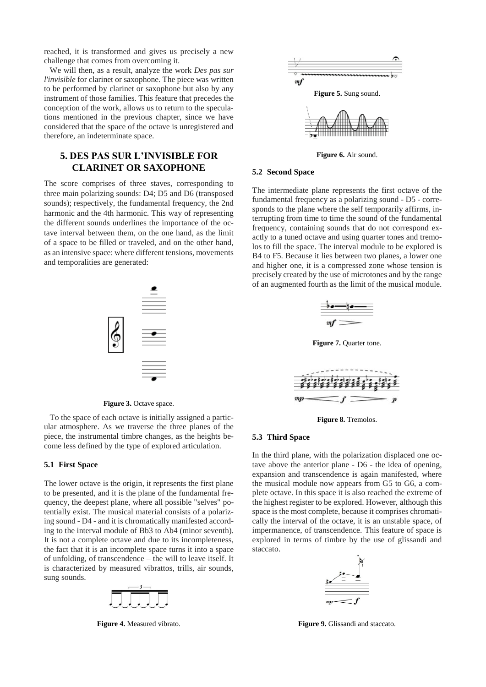reached, it is transformed and gives us precisely a new challenge that comes from overcoming it.

We will then, as a result, analyze the work *Des pas sur l'invisible* for clarinet or saxophone. The piece was written to be performed by clarinet or saxophone but also by any instrument of those families. This feature that precedes the conception of the work, allows us to return to the speculations mentioned in the previous chapter, since we have considered that the space of the octave is unregistered and therefore, an indeterminate space.

## **5. DES PAS SUR L'INVISIBLE FOR CLARINET OR SAXOPHONE**

The score comprises of three staves, corresponding to three main polarizing sounds: D4; D5 and D6 (transposed sounds); respectively, the fundamental frequency, the 2nd harmonic and the 4th harmonic. This way of representing the different sounds underlines the importance of the octave interval between them, on the one hand, as the limit of a space to be filled or traveled, and on the other hand, as an intensive space: where different tensions, movements and temporalities are generated:



Figure 3. Octave space.

To the space of each octave is initially assigned a particular atmosphere. As we traverse the three planes of the piece, the instrumental timbre changes, as the heights become less defined by the type of explored articulation.

#### **5.1 First Space**

The lower octave is the origin, it represents the first plane to be presented, and it is the plane of the fundamental frequency, the deepest plane, where all possible "selves" potentially exist. The musical material consists of a polarizing sound - D4 - and it is chromatically manifested according to the interval module of Bb3 to Ab4 (minor seventh). It is not a complete octave and due to its incompleteness, the fact that it is an incomplete space turns it into a space of unfolding, of transcendence – the will to leave itself. It is characterized by measured vibrattos, trills, air sounds, sung sounds.



**Figure 4.** Measured vibrato.



**Figure 6.** Air sound.

#### **5.2 Second Space**

The intermediate plane represents the first octave of the fundamental frequency as a polarizing sound - D5 - corresponds to the plane where the self temporarily affirms, interrupting from time to time the sound of the fundamental frequency, containing sounds that do not correspond exactly to a tuned octave and using quarter tones and tremolos to fill the space. The interval module to be explored is B4 to F5. Because it lies between two planes, a lower one and higher one, it is a compressed zone whose tension is precisely created by the use of microtones and by the range of an augmented fourth as the limit of the musical module.



**Figure 7.** Quarter tone.



**Figure 8.** Tremolos.

#### **5.3 Third Space**

In the third plane, with the polarization displaced one octave above the anterior plane - D6 - the idea of opening, expansion and transcendence is again manifested, where the musical module now appears from G5 to G6, a complete octave. In this space it is also reached the extreme of the highest register to be explored. However, although this space is the most complete, because it comprises chromatically the interval of the octave, it is an unstable space, of impermanence, of transcendence. This feature of space is explored in terms of timbre by the use of glissandi and staccato.



**Figure 9.** Glissandi and staccato.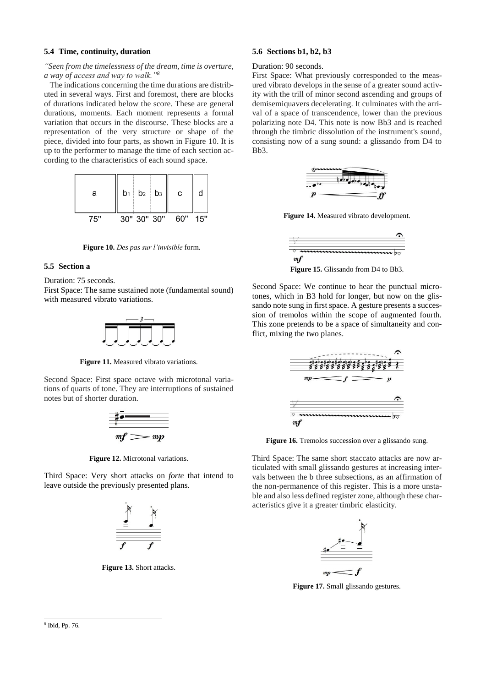#### **5.4 Time, continuity, duration**

#### *"Seen from the timelessness of the dream, time is overture, a way of access and way to walk."<sup>8</sup>*

The indications concerning the time durations are distributed in several ways. First and foremost, there are blocks of durations indicated below the score. These are general durations, moments. Each moment represents a formal variation that occurs in the discourse. These blocks are a representation of the very structure or shape of the piece, divided into four parts, as shown in Figure 10. It is up to the performer to manage the time of each section according to the characteristics of each sound space.



**Figure 10.** *Des pas sur l'invisible* form.

#### **5.5 Section a**

Duration: 75 seconds.

First Space: The same sustained note (fundamental sound) with measured vibrato variations.



**Figure 11.** Measured vibrato variations.

Second Space: First space octave with microtonal variations of quarts of tone. They are interruptions of sustained notes but of shorter duration.



**Figure 12.** Microtonal variations.

Third Space: Very short attacks on *forte* that intend to leave outside the previously presented plans.



**Figure 13.** Short attacks.

### **5.6 Sections b1, b2, b3**

#### Duration: 90 seconds.

First Space: What previously corresponded to the measured vibrato develops in the sense of a greater sound activity with the trill of minor second ascending and groups of demisemiquavers decelerating. It culminates with the arrival of a space of transcendence, lower than the previous polarizing note D4. This note is now Bb3 and is reached through the timbric dissolution of the instrument's sound, consisting now of a sung sound: a glissando from D4 to Bb3.



**Figure 14.** Measured vibrato development.



Second Space: We continue to hear the punctual microtones, which in B3 hold for longer, but now on the glissando note sung in first space. A gesture presents a succession of tremolos within the scope of augmented fourth. This zone pretends to be a space of simultaneity and conflict, mixing the two planes.



Figure 16. Tremolos succession over a glissando sung.

Third Space: The same short staccato attacks are now articulated with small glissando gestures at increasing intervals between the b three subsections, as an affirmation of the non-permanence of this register. This is a more unstable and also less defined register zone, although these characteristics give it a greater timbric elasticity.



**Figure 17.** Small glissando gestures.

l